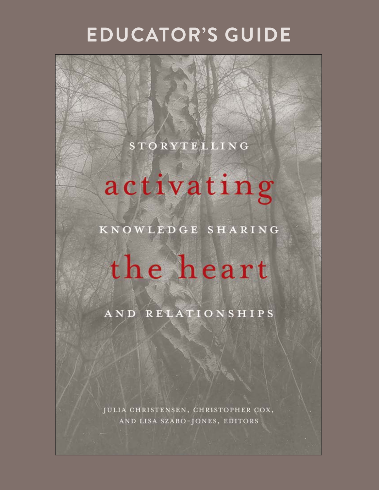## **EDUCATOR'S GUIDE**

## **STORYTELLING**

## activating

KNOWLEDGE SHARING

# the heart

AND RELATIONSHIPS

JULIA CHRISTENSEN, CHRISTOPHER COX, AND LISA SZABO-JONES, EDITORS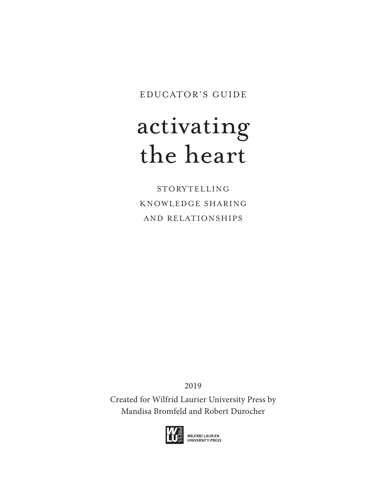EDUCATOR'S GUIDE

## activating the heart

STORYTELLING KNOWLEDGE SHARING AND RELATIONSHIPS

2019

Created for Wilfrid Laurier University Press by Mandisa Bromfeld and Robert Durocher

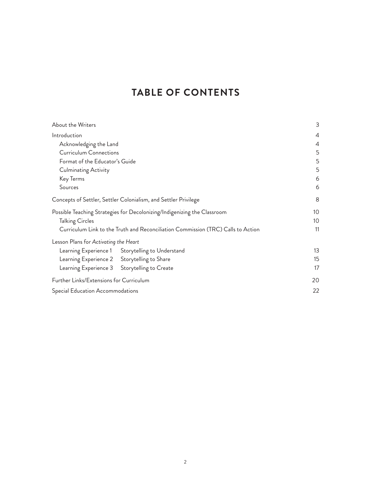## **TABLE OF CONTENTS**

| About the Writers                                                                |                                                                 | 3  |
|----------------------------------------------------------------------------------|-----------------------------------------------------------------|----|
| Introduction                                                                     |                                                                 | 4  |
| Acknowledging the Land                                                           |                                                                 | 4  |
| <b>Curriculum Connections</b>                                                    |                                                                 | 5  |
| Format of the Educator's Guide                                                   |                                                                 | 5  |
| Culminating Activity                                                             |                                                                 | 5  |
| Key Terms                                                                        |                                                                 | 6  |
| Sources                                                                          |                                                                 | 6  |
|                                                                                  | Concepts of Settler, Settler Colonialism, and Settler Privilege | 8  |
| Possible Teaching Strategies for Decolonizing/Indigenizing the Classroom         |                                                                 | 10 |
| <b>Talking Circles</b>                                                           |                                                                 | 10 |
| Curriculum Link to the Truth and Reconciliation Commission (TRC) Calls to Action |                                                                 | 11 |
| Lesson Plans for Activating the Heart                                            |                                                                 |    |
|                                                                                  | Learning Experience 1 Storytelling to Understand                | 13 |
| Learning Experience 2 Storytelling to Share                                      |                                                                 | 15 |
|                                                                                  | Learning Experience 3 Storytelling to Create                    | 17 |
| Further Links/Extensions for Curriculum                                          |                                                                 | 20 |
| Special Education Accommodations                                                 |                                                                 | 22 |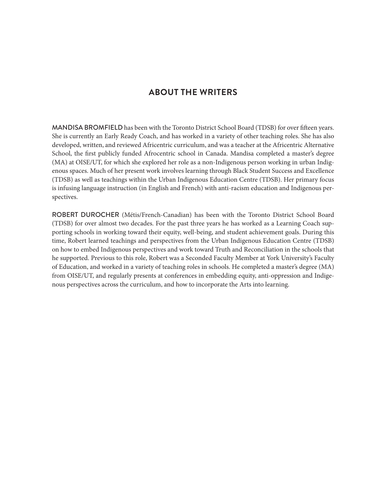## **ABOUT THE WRITERS**

MANDISA BROMFIELD has been with the Toronto District School Board (TDSB) for over fifteen years. She is currently an Early Ready Coach, and has worked in a variety of other teaching roles. She has also developed, written, and reviewed Africentric curriculum, and was a teacher at the Africentric Alternative School, the first publicly funded Afrocentric school in Canada. Mandisa completed a master's degree (MA) at OISE/UT, for which she explored her role as a non-Indigenous person working in urban Indigenous spaces. Much of her present work involves learning through Black Student Success and Excellence (TDSB) as well as teachings within the Urban Indigenous Education Centre (TDSB). Her primary focus is infusing language instruction (in English and French) with anti-racism education and Indigenous perspectives.

ROBERT DUROCHER (Métis/French-Canadian) has been with the Toronto District School Board (TDSB) for over almost two decades. For the past three years he has worked as a Learning Coach supporting schools in working toward their equity, well-being, and student achievement goals. During this time, Robert learned teachings and perspectives from the Urban Indigenous Education Centre (TDSB) on how to embed Indigenous perspectives and work toward Truth and Reconciliation in the schools that he supported. Previous to this role, Robert was a Seconded Faculty Member at York University's Faculty of Education, and worked in a variety of teaching roles in schools. He completed a master's degree (MA) from OISE/UT, and regularly presents at conferences in embedding equity, anti-oppression and Indigenous perspectives across the curriculum, and how to incorporate the Arts into learning.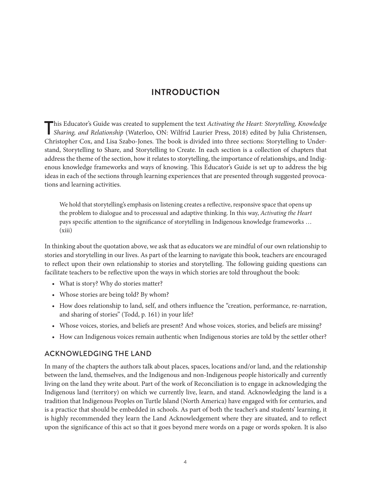## **INTRODUCTION**

This Educator's Guide was created to supplement the text *Activating the Heart: Storytelling, Knowledge Sharing, and Relationship* (Waterloo, ON: Wilfrid Laurier Press, 2018) edited by Julia Christensen, Christopher Cox, and Lisa Szabo-Jones. The book is divided into three sections: Storytelling to Understand, Storytelling to Share, and Storytelling to Create. In each section is a collection of chapters that address the theme of the section, how it relates to storytelling, the importance of relationships, and Indigenous knowledge frameworks and ways of knowing. This Educator's Guide is set up to address the big ideas in each of the sections through learning experiences that are presented through suggested provocations and learning activities.

We hold that storytelling's emphasis on listening creates a reflective, responsive space that opens up the problem to dialogue and to processual and adaptive thinking. In this way, *Activating the Heart* pays specific attention to the significance of storytelling in Indigenous knowledge frameworks … (xiii)

In thinking about the quotation above, we ask that as educators we are mindful of our own relationship to stories and storytelling in our lives. As part of the learning to navigate this book, teachers are encouraged to reflect upon their own relationship to stories and storytelling. The following guiding questions can facilitate teachers to be reflective upon the ways in which stories are told throughout the book:

- What is story? Why do stories matter?
- Whose stories are being told? By whom?
- How does relationship to land, self, and others influence the "creation, performance, re-narration, and sharing of stories" (Todd, p. 161) in your life?
- Whose voices, stories, and beliefs are present? And whose voices, stories, and beliefs are missing?
- How can Indigenous voices remain authentic when Indigenous stories are told by the settler other?

## ACKNOWLEDGING THE LAND

In many of the chapters the authors talk about places, spaces, locations and/or land, and the relationship between the land, themselves, and the Indigenous and non-Indigenous people historically and currently living on the land they write about. Part of the work of Reconciliation is to engage in acknowledging the Indigenous land (territory) on which we currently live, learn, and stand. Acknowledging the land is a tradition that Indigenous Peoples on Turtle Island (North America) have engaged with for centuries, and is a practice that should be embedded in schools. As part of both the teacher's and students' learning, it is highly recommended they learn the [Land Acknowledgement](https://native-land.ca/territory-acknowledgement/) where they are situated, and to reflect upon the significance of this act so that it goes beyond mere words on a page or words spoken. It is also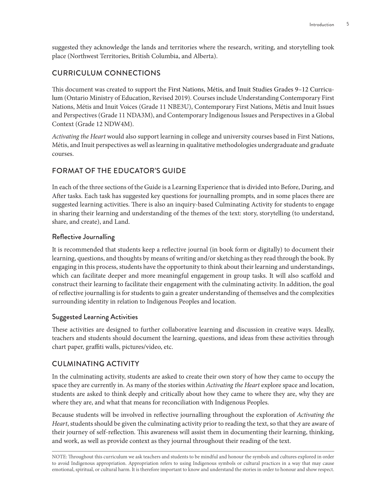suggested they acknowledge the lands and territories where the research, writing, and storytelling took place (Northwest Territories, British Columbia, and Alberta).

## CURRICULUM CONNECTIONS

This document was created to support the [First Nations, Métis, and Inuit Studies Grades 9–12 Curricu](http://www.edu.gov.on.ca/eng/curriculum/secondary/First-nations-metis-inuit-studies-grades-9-12.pdf)[lum](http://www.edu.gov.on.ca/eng/curriculum/secondary/First-nations-metis-inuit-studies-grades-9-12.pdf) (Ontario Ministry of Education, Revised 2019). Courses include Understanding Contemporary First Nations, Métis and Inuit Voices (Grade 11 NBE3U), Contemporary First Nations, Métis and Inuit Issues and Perspectives (Grade 11 NDA3M), and Contemporary Indigenous Issues and Perspectives in a Global Context (Grade 12 NDW4M).

*Activating the Heart* would also support learning in college and university courses based in First Nations, Métis, and Inuit perspectives as well as learning in qualitative methodologies undergraduate and graduate courses.

## FORMAT OF THE EDUCATOR'S GUIDE

In each of the three sections of the Guide is a Learning Experience that is divided into Before, During, and After tasks. Each task has suggested key questions for journalling prompts, and in some places there are suggested learning activities. There is also an inquiry-based Culminating Activity for students to engage in sharing their learning and understanding of the themes of the text: story, storytelling (to understand, share, and create), and Land.

## Reflective Journalling

It is recommended that students keep a reflective journal (in book form or digitally) to document their learning, questions, and thoughts by means of writing and/or sketching as they read through the book. By engaging in this process, students have the opportunity to think about their learning and understandings, which can facilitate deeper and more meaningful engagement in group tasks. It will also scaffold and construct their learning to facilitate their engagement with the culminating activity. In addition, the goal of reflective journalling is for students to gain a greater understanding of themselves and the complexities surrounding identity in relation to Indigenous Peoples and location.

## Suggested Learning Activities

These activities are designed to further collaborative learning and discussion in creative ways. Ideally, teachers and students should document the learning, questions, and ideas from these activities through chart paper, graffiti walls, pictures/video, etc.

## CULMINATING ACTIVITY

In the culminating activity, students are asked to create their own story of how they came to occupy the space they are currently in. As many of the stories within *Activating the Heart* explore space and location, students are asked to think deeply and critically about how they came to where they are, why they are where they are, and what that means for reconciliation with Indigenous Peoples.

Because students will be involved in reflective journalling throughout the exploration of *Activating the Heart*, students should be given the culminating activity prior to reading the text, so that they are aware of their journey of self-reflection. This awareness will assist them in documenting their learning, thinking, and work, as well as provide context as they journal throughout their reading of the text.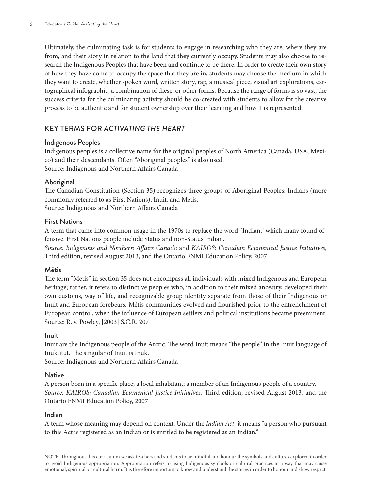Ultimately, the culminating task is for students to engage in researching who they are, where they are from, and their story in relation to the land that they currently occupy. Students may also choose to research the Indigenous Peoples that have been and continue to be there. In order to create their own story of how they have come to occupy the space that they are in, students may choose the medium in which they want to create, whether spoken word, written story, rap, a musical piece, visual art explorations, cartographical infographic, a combination of these, or other forms. Because the range of forms is so vast, the success criteria for the culminating activity should be co-created with students to allow for the creative process to be authentic and for student ownership over their learning and how it is represented.

## KEY TERMS FOR *ACTIVATING THE HEART*

## Indigenous Peoples

Indigenous peoples is a collective name for the original peoples of North America (Canada, USA, Mexico) and their descendants. Often "Aboriginal peoples" is also used. Source: Indigenous and Northern Affairs Canada

## Aboriginal

The Canadian Constitution (Section 35) recognizes three groups of Aboriginal Peoples: Indians (more commonly referred to as First Nations), Inuit, and Métis. Source: Indigenous and Northern Affairs Canada

#### First Nations

A term that came into common usage in the 1970s to replace the word "Indian," which many found offensive. First Nations people include Status and non-Status Indian.

*Source: Indigenous and Northern Affairs Canada* and *KAIROS: Canadian Ecumenical Justice Initiatives*, Third edition, revised August 2013, and the Ontario FNMI Education Policy, 2007

## Métis

The term "Métis" in section 35 does not encompass all individuals with mixed Indigenous and European heritage; rather, it refers to distinctive peoples who, in addition to their mixed ancestry, developed their own customs, way of life, and recognizable group identity separate from those of their Indigenous or Inuit and European forebears. Métis communities evolved and flourished prior to the entrenchment of European control, when the influence of European settlers and political institutions became preeminent. Source: R. v. Powley, [2003] S.C.R. 207

#### Inuit

Inuit are the Indigenous people of the Arctic. The word Inuit means "the people" in the Inuit language of Inuktitut. The singular of Inuit is Inuk.

Source: Indigenous and Northern Affairs Canada

#### Native

A person born in a specific place; a local inhabitant; a member of an Indigenous people of a country. *Source: KAIROS: Canadian Ecumenical Justice Initiatives*, Third edition, revised August 2013, and the Ontario FNMI Education Policy, 2007

## Indian

A term whose meaning may depend on context. Under the *[Indian Act](https://laws-lois.justice.gc.ca/eng/acts/i-5/),* it means "a person who pursuant to this Act is registered as an Indian or is entitled to be registered as an Indian."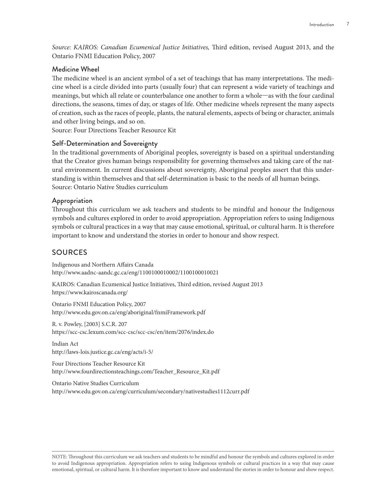*Source: KAIROS: Canadian Ecumenical Justice Initiatives,* Third edition, revised August 2013, and the Ontario FNMI Education Policy, 2007

#### Medicine Wheel

The medicine wheel is an ancient symbol of a set of teachings that has many interpretations. The medicine wheel is a circle divided into parts (usually four) that can represent a wide variety of teachings and meanings, but which all relate or counterbalance one another to form a whole—as with the four cardinal directions, the seasons, times of day, or stages of life. Other medicine wheels represent the many aspects of creation, such as the races of people, plants, the natural elements, aspects of being or character, animals and other living beings, and so on.

Source: Four Directions Teacher Resource Kit

#### Self-Determination and Sovereignty

In the traditional governments of Aboriginal peoples, sovereignty is based on a spiritual understanding that the Creator gives human beings responsibility for governing themselves and taking care of the natural environment. In current discussions about sovereignty, Aboriginal peoples assert that this understanding is within themselves and that self-determination is basic to the needs of all human beings. Source: Ontario Native Studies curriculum

#### Appropriation

Throughout this curriculum we ask teachers and students to be mindful and honour the Indigenous symbols and cultures explored in order to avoid appropriation. Appropriation refers to using Indigenous symbols or cultural practices in a way that may cause emotional, spiritual, or cultural harm. It is therefore important to know and understand the stories in order to honour and show respect.

## SOURCES

Indigenous and Northern Affairs Canada <http://www.aadnc-aandc.gc.ca/eng/1100100010002/1100100010021>

KAIROS: Canadian Ecumenical Justice Initiatives, Third edition, revised August 2013 <https://www.kairoscanada.org/>

Ontario FNMI Education Policy, 2007 <http://www.edu.gov.on.ca/eng/aboriginal/fnmiFramework.pdf>

R. v. Powley, [2003] S.C.R. 207 <https://scc-csc.lexum.com/scc-csc/scc-csc/en/item/2076/index.do>

Indian Act <http://laws-lois.justice.gc.ca/eng/acts/i-5/>

Four Directions Teacher Resource Kit [http://www.fourdirectionsteachings.com/Teacher\\_Resource\\_Kit.pdf](http://www.fourdirectionsteachings.com/Teacher_Resource_Kit.pdf)

Ontario Native Studies Curriculum <http://www.edu.gov.on.ca/eng/curriculum/secondary/nativestudies1112curr.pdf>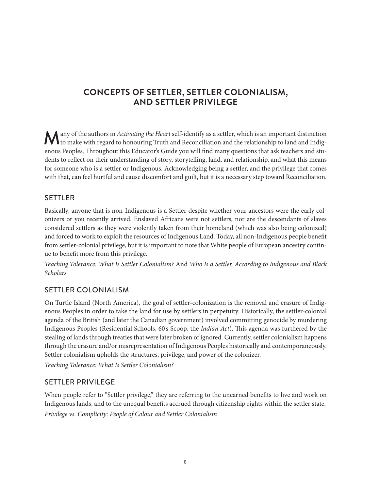## **CONCEPTS OF SETTLER, SETTLER COLONIALISM, AND SETTLER PRIVILEGE**

Many of the authors in *Activating the Heart* self-identify as a settler, which is an important distinction to make with regard to honouring Truth and Reconciliation and the relationship to land and Indigenous Peoples. Throughout this Educator's Guide you will find many questions that ask teachers and students to reflect on their understanding of story, storytelling, land, and relationship, and what this means for someone who is a settler or Indigenous. Acknowledging being a settler, and the privilege that comes with that, can feel hurtful and cause discomfort and guilt, but it is a necessary step toward Reconciliation.

## **SETTLER**

Basically, anyone that is non-Indigenous is a Settler despite whether your ancestors were the early colonizers or you recently arrived. Enslaved Africans were not settlers, nor are the descendants of slaves considered settlers as they were violently taken from their homeland (which was also being colonized) and forced to work to exploit the resources of Indigenous Land. Today, all non-Indigenous people benefit from settler-colonial privilege, but it is important to note that White people of European ancestry continue to benefit more from this privilege.

*Teaching Tolerance: What Is Settler Colonialism?* And *Who Is a Settler, According to Indigenous and Black Scholars*

## SETTLER COLONIALISM

On Turtle Island (North America), the goal of settler-colonization is the removal and erasure of Indigenous Peoples in order to take the land for use by settlers in perpetuity. Historically, the settler-colonial agenda of the British (and later the Canadian government) involved committing genocide by murdering Indigenous Peoples (Residential Schools, 60's Scoop, the *Indian Act*). This agenda was furthered by the stealing of lands through treaties that were later broken of ignored. Currently, settler colonialism happens through the erasure and/or misrepresentation of Indigenous Peoples historically and contemporaneously. Settler colonialism upholds the structures, privilege, and power of the colonizer.

*Teaching Tolerance: What Is Settler Colonialism?*

## SETTLER PRIVILEGE

When people refer to "Settler privilege," they are referring to the unearned benefits to live and work on Indigenous lands, and to the unequal benefits accrued through citizenship rights within the settler state. *Privilege vs. Complicity: People of Colour and Settler Colonialism*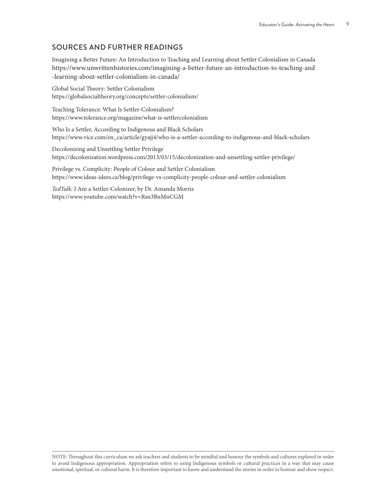## SOURCES AND FURTHER READINGS

Imagining a Better Future: An Introduction to Teaching and Learning about Settler Colonialism in Canada [https://www.unwrittenhistories.com/imagining-a-better-future-an-introduction-to-teaching-and](https://www.unwrittenhistories.com/imagining-a-better-future-an-introduction-to-teaching-and-learning-about-settler-colonialism-in-canada/) [-learning-about-settler-colonialism-in-canada/](https://www.unwrittenhistories.com/imagining-a-better-future-an-introduction-to-teaching-and-learning-about-settler-colonialism-in-canada/)

Global Social Theory: Settler Colonialism <https://globalsocialtheory.org/concepts/settler-colonialism/>

Teaching Tolerance: What Is Settler-Colonialism? <https://www.tolerance.org/magazine/what-is-settlercolonialism>

Who Is a Settler, According to Indigenous and Black Scholars [https://www.vice.com/en\\_ca/article/gyajj4/who-is-a-settler-according-to-indigenous-and-black-scholars](https://www.vice.com/en_ca/article/gyajj4/who-is-a-settler-according-to-indigenous-and-black-scholars)

Decolonizing and Unsettling Settler Privilege <https://decolonization.wordpress.com/2013/03/15/decolonization-and-unsettling-settler-privilege/>

Privilege vs. Complicity: People of Colour and Settler Colonialism <https://www.ideas-idees.ca/blog/privilege-vs-complicity-people-colour-and-settler-colonialism>

*TedTalk:* I Am a Settler-Colonizer, by Dr. Amanda Morris <https://www.youtube.com/watch?v=Rsn3BnMnCGM>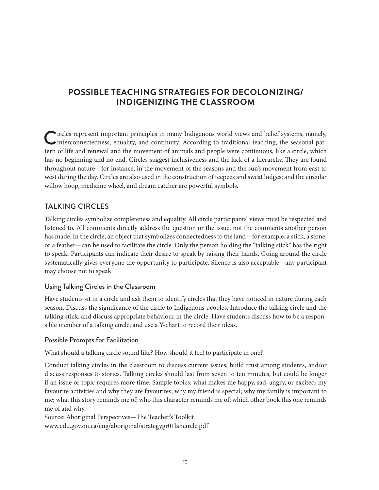## **POSSIBLE TEACHING STRATEGIES FOR DECOLONIZING/ INDIGENIZING THE CLASSROOM**

Circles represent important principles in many Indigenous world views and belief systems, namely, interconnectedness, equality, and continuity. According to traditional teaching, the seasonal pattern of life and renewal and the movement of animals and people were continuous, like a circle, which has no beginning and no end. Circles suggest inclusiveness and the lack of a hierarchy. They are found throughout nature—for instance, in the movement of the seasons and the sun's movement from east to west during the day. Circles are also used in the construction of teepees and sweat lodges; and the circular willow hoop, medicine wheel, and dream catcher are powerful symbols.

## TAI KING CIRCLES

Talking circles symbolize completeness and equality. All circle participants' views must be respected and listened to. All comments directly address the question or the issue, not the comments another person has made. In the circle, an object that symbolizes connectedness to the land—for example, a stick, a stone, or a feather—can be used to facilitate the circle. Only the person holding the "talking stick" has the right to speak. Participants can indicate their desire to speak by raising their hands. Going around the circle systematically gives everyone the opportunity to participate. Silence is also acceptable—any participant may choose not to speak.

## Using Talking Circles in the Classroom

Have students sit in a circle and ask them to identify circles that they have noticed in nature during each season. Discuss the significance of the circle to Indigenous peoples. Introduce the talking circle and the talking stick, and discuss appropriate behaviour in the circle. Have students discuss how to be a responsible member of a talking circle, and use a Y-chart to record their ideas.

## Possible Prompts for Facilitation

What should a talking circle sound like? How should it feel to participate in one?

Conduct talking circles in the classroom to discuss current issues, build trust among students, and/or discuss responses to stories. Talking circles should last from seven to ten minutes, but could be longer if an issue or topic requires more time. Sample topics: what makes me happy, sad, angry, or excited; my favourite activities and why they are favourites; why my friend is special; why my family is important to me; what this story reminds me of; who this character reminds me of; which other book this one reminds me of and why.

Source: Aboriginal Perspectives—The Teacher's Toolkit [www.edu.gov.on.ca/eng/aboriginal/strategygr01lancircle.pdf](http://www.edu.gov.on.ca/eng/aboriginal/strategygr01lancircle.pdf)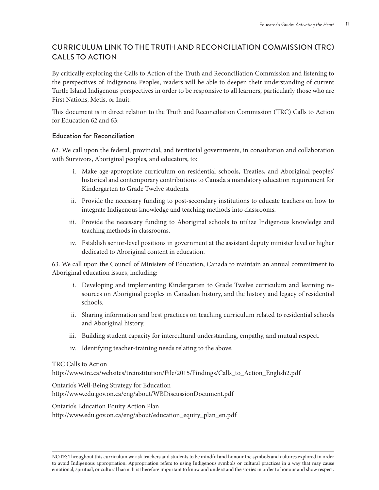## CURRICULUM LINK TO THE TRUTH AND RECONCILIATION COMMISSION (TRC) CALLS TO ACTION

By critically exploring the Calls to Action of the Truth and Reconciliation Commission and listening to the perspectives of Indigenous Peoples, readers will be able to deepen their understanding of current Turtle Island Indigenous perspectives in order to be responsive to all learners, particularly those who are First Nations, Métis, or Inuit.

This document is in direct relation to the Truth and Reconciliation Commission (TRC) Calls to Action for Education 62 and 63:

## Education for Reconciliation

62. We call upon the federal, provincial, and territorial governments, in consultation and collaboration with Survivors, Aboriginal peoples, and educators, to:

- i. Make age-appropriate curriculum on residential schools, Treaties, and Aboriginal peoples' historical and contemporary contributions to Canada a mandatory education requirement for Kindergarten to Grade Twelve students.
- ii. Provide the necessary funding to post-secondary institutions to educate teachers on how to integrate Indigenous knowledge and teaching methods into classrooms.
- iii. Provide the necessary funding to Aboriginal schools to utilize Indigenous knowledge and teaching methods in classrooms.
- iv. Establish senior-level positions in government at the assistant deputy minister level or higher dedicated to Aboriginal content in education.

63. We call upon the Council of Ministers of Education, Canada to maintain an annual commitment to Aboriginal education issues, including:

- i. Developing and implementing Kindergarten to Grade Twelve curriculum and learning resources on Aboriginal peoples in Canadian history, and the history and legacy of residential schools.
- ii. Sharing information and best practices on teaching curriculum related to residential schools and Aboriginal history.
- iii. Building student capacity for intercultural understanding, empathy, and mutual respect.
- iv. Identifying teacher-training needs relating to the above.

## TRC Calls to Action

[http://www.trc.ca/websites/trcinstitution/File/2015/Findings/Calls\\_to\\_Action\\_English2.pdf](http://www.trc.ca/websites/trcinstitution/File/2015/Findings/Calls_to_Action_English2.pdf)

Ontario's Well-Being Strategy for Education <http://www.edu.gov.on.ca/eng/about/WBDiscussionDocument.pdf>

Ontario's Education Equity Action Plan [http://www.edu.gov.on.ca/eng/about/education\\_equity\\_plan\\_en.pdf](http://www.edu.gov.on.ca/eng/about/education_equity_plan_en.pdf)

NOTE: Throughout this curriculum we ask teachers and students to be mindful and honour the symbols and cultures explored in order to avoid Indigenous appropriation. Appropriation refers to using Indigenous symbols or cultural practices in a way that may cause emotional, spiritual, or cultural harm. It is therefore important to know and understand the stories in order to honour and show respect.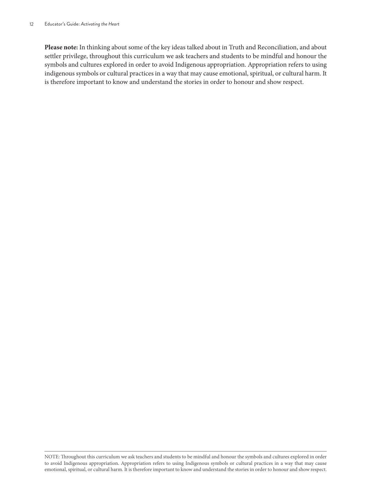**Please note:** In thinking about some of the key ideas talked about in Truth and Reconciliation, and about settler privilege, throughout this curriculum we ask teachers and students to be mindful and honour the symbols and cultures explored in order to avoid Indigenous appropriation. Appropriation refers to using indigenous symbols or cultural practices in a way that may cause emotional, spiritual, or cultural harm. It is therefore important to know and understand the stories in order to honour and show respect.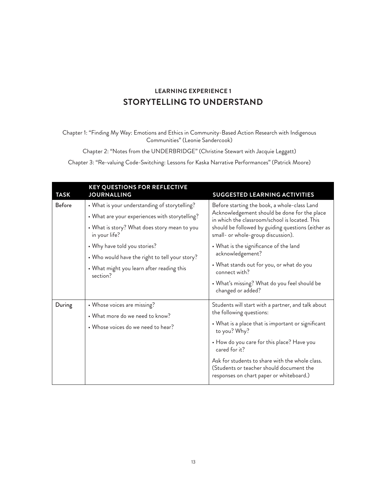## **LEARNING EXPERIENCE 1 STORYTELLING TO UNDERSTAND**

Chapter 1: "Finding My Way: Emotions and Ethics in Community-Based Action Research with Indigenous Communities" (Leonie Sandercook)

Chapter 2: "Notes from the UNDERBRIDGE" (Christine Stewart with Jacquie Leggatt)

Chapter 3: "Re-valuing Code-Switching: Lessons for Kaska Narrative Performances" (Patrick Moore)

| <b>TASK</b>   | <b>KEY QUESTIONS FOR REFLECTIVE</b><br><b>JOURNALLING</b>                                                                                                                                                                                                                                                   | <b>SUGGESTED LEARNING ACTIVITIES</b>                                                                                                                                                                                                                                                                                                                                   |
|---------------|-------------------------------------------------------------------------------------------------------------------------------------------------------------------------------------------------------------------------------------------------------------------------------------------------------------|------------------------------------------------------------------------------------------------------------------------------------------------------------------------------------------------------------------------------------------------------------------------------------------------------------------------------------------------------------------------|
| <b>Before</b> | • What is your understanding of storytelling?<br>• What are your experiences with storytelling?<br>• What is story? What does story mean to you<br>in your life?<br>• Why have told you stories?<br>• Who would have the right to tell your story?<br>• What might you learn after reading this<br>section? | Before starting the book, a whole-class Land<br>Acknowledgement should be done for the place<br>in which the classroom/school is located. This<br>should be followed by guiding questions (either as<br>small- or whole-group discussion).<br>• What is the significance of the land<br>acknowledgement?<br>• What stands out for you, or what do you<br>connect with? |
|               |                                                                                                                                                                                                                                                                                                             | • What's missing? What do you feel should be<br>changed or added?                                                                                                                                                                                                                                                                                                      |
| During        | • Whose voices are missing?<br>• What more do we need to know?<br>• Whose voices do we need to hear?                                                                                                                                                                                                        | Students will start with a partner, and talk about<br>the following questions:<br>• What is a place that is important or significant<br>to you? Why?<br>• How do you care for this place? Have you<br>cared for it?<br>Ask for students to share with the whole class.<br>(Students or teacher should document the<br>responses on chart paper or whiteboard.)         |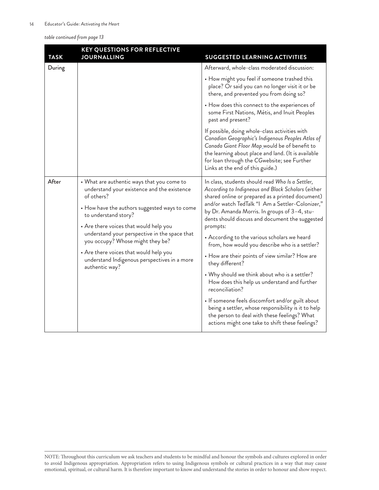*table continued from page 13*

| <b>TASK</b> | <b>KEY QUESTIONS FOR REFLECTIVE</b><br><b>JOURNALLING</b>                                                                                                                                                                                                                                                                                                                                                                   | <b>SUGGESTED LEARNING ACTIVITIES</b>                                                                                                                                                                                                                                                                                                                                                                                                                                                                                                                                                                                                                                                                                                                                                                                                    |
|-------------|-----------------------------------------------------------------------------------------------------------------------------------------------------------------------------------------------------------------------------------------------------------------------------------------------------------------------------------------------------------------------------------------------------------------------------|-----------------------------------------------------------------------------------------------------------------------------------------------------------------------------------------------------------------------------------------------------------------------------------------------------------------------------------------------------------------------------------------------------------------------------------------------------------------------------------------------------------------------------------------------------------------------------------------------------------------------------------------------------------------------------------------------------------------------------------------------------------------------------------------------------------------------------------------|
| During      |                                                                                                                                                                                                                                                                                                                                                                                                                             | Afterward, whole-class moderated discussion:<br>• How might you feel if someone trashed this<br>place? Or said you can no longer visit it or be<br>there, and prevented you from doing so?<br>• How does this connect to the experiences of<br>some First Nations, Métis, and Inuit Peoples<br>past and present?<br>If possible, doing whole-class activities with<br>Canadian Geographic's Indigenous Peoples Atlas of<br>Canada Giant Floor Map_would be of benefit to<br>the learning about place and land. (It is available<br>for loan through the CGwebsite; see Further<br>Links at the end of this guide.)                                                                                                                                                                                                                      |
| After       | • What are authentic ways that you come to<br>understand your existence and the existence<br>of others?<br>• How have the authors suggested ways to come<br>to understand story?<br>• Are there voices that would help you<br>understand your perspective in the space that<br>you occupy? Whose might they be?<br>• Are there voices that would help you<br>understand Indigenous perspectives in a more<br>authentic way? | In class, students should read Who Is a Settler,<br>According to Indigneous and Black Scholars (either<br>shared online or prepared as a printed document)<br>and/or watch TedTalk "I Am a Settler-Colonizer,"<br>by Dr. Amanda Morris. In groups of 3–4, stu-<br>dents should discuss and document the suggested<br>prompts:<br>• According to the various scholars we heard<br>from, how would you describe who is a settler?<br>• How are their points of view similar? How are<br>they different?<br>• Why should we think about who is a settler?<br>How does this help us understand and further<br>reconciliation?<br>• If someone feels discomfort and/or guilt about<br>being a settler, whose responsibility is it to help<br>the person to deal with these feelings? What<br>actions might one take to shift these feelings? |

NOTE: Throughout this curriculum we ask teachers and students to be mindful and honour the symbols and cultures explored in order to avoid Indigenous appropriation. Appropriation refers to using Indigenous symbols or cultural practices in a way that may cause emotional, spiritual, or cultural harm. It is therefore important to know and understand the stories in order to honour and show respect.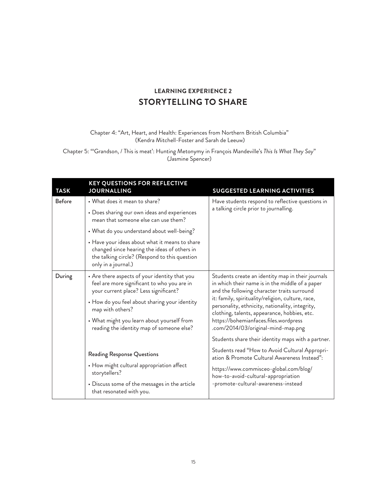## **LEARNING EXPERIENCE 2 STORYTELLING TO SHARE**

#### Chapter 4: "Art, Heart, and Health: Experiences from Northern British Columbia" (Kendra Mitchell-Foster and Sarah de Leeuw)

Chapter 5: "'Grandson, / This is meat': Hunting Metonymy in François Mandeville's *This Is What They Say*" (Jasmine Spencer)

| <b>TASK</b>   | <b>KEY QUESTIONS FOR REFLECTIVE</b><br><b>JOURNALLING</b>                                                                                                              | <b>SUGGESTED LEARNING ACTIVITIES</b>                                                                                                                 |
|---------------|------------------------------------------------------------------------------------------------------------------------------------------------------------------------|------------------------------------------------------------------------------------------------------------------------------------------------------|
| <b>Before</b> | • What does it mean to share?                                                                                                                                          | Have students respond to reflective questions in                                                                                                     |
|               | • Does sharing our own ideas and experiences<br>mean that someone else can use them?                                                                                   | a talking circle prior to journalling.                                                                                                               |
|               | • What do you understand about well-being?                                                                                                                             |                                                                                                                                                      |
|               | • Have your ideas about what it means to share<br>changed since hearing the ideas of others in<br>the talking circle? (Respond to this question<br>only in a journal.) |                                                                                                                                                      |
| During        | • Are there aspects of your identity that you<br>feel are more significant to who you are in<br>your current place? Less significant?                                  | Students create an identity map in their journals<br>in which their name is in the middle of a paper<br>and the following character traits surround  |
|               | • How do you feel about sharing your identity<br>map with others?                                                                                                      | it: family, spirituality/religion, culture, race,<br>personality, ethnicity, nationality, integrity,<br>clothing, talents, appearance, hobbies, etc. |
|               | • What might you learn about yourself from<br>reading the identity map of someone else?                                                                                | https://bohemianfaces.files.wordpress<br>.com/2014/03/original-mind-map.png                                                                          |
|               |                                                                                                                                                                        | Students share their identity maps with a partner.                                                                                                   |
|               | <b>Reading Response Questions</b>                                                                                                                                      | Students read "How to Avoid Cultural Appropri-<br>ation & Promote Cultural Awareness Instead":                                                       |
|               | • How might cultural appropriation affect<br>storytellers?                                                                                                             | https://www.commisceo-global.com/blog/<br>how-to-avoid-cultural-appropriation                                                                        |
|               | • Discuss some of the messages in the article<br>that resonated with you.                                                                                              | -promote-cultural-awareness-instead                                                                                                                  |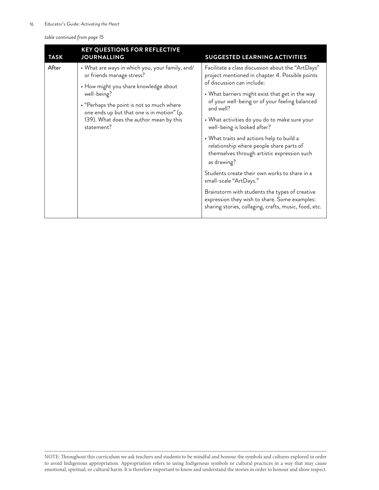*table continued from page 15*

| <b>TASK</b> | <b>KEY QUESTIONS FOR REFLECTIVE</b><br><b>JOURNALLING</b>                                                                                                                                                | <b>SUGGESTED LEARNING ACTIVITIES</b>                                                                                                                                                                                                                                                                                                                                                                                                                                                                                                |
|-------------|----------------------------------------------------------------------------------------------------------------------------------------------------------------------------------------------------------|-------------------------------------------------------------------------------------------------------------------------------------------------------------------------------------------------------------------------------------------------------------------------------------------------------------------------------------------------------------------------------------------------------------------------------------------------------------------------------------------------------------------------------------|
| After       | • What are ways in which you, your family, and/<br>or friends manage stress?                                                                                                                             | Facilitate a class discussion about the "ArtDays"<br>project mentioned in chapter 4. Possible points<br>of discussion can include:                                                                                                                                                                                                                                                                                                                                                                                                  |
|             | • How might you share knowledge about<br>well-being?<br>• "Perhaps the point is not so much where<br>one ends up but that one is in motion" (p.<br>139). What does the author mean by this<br>statement? | • What barriers might exist that get in the way<br>of your well-being or of your feeling balanced<br>and well?<br>• What activities do you do to make sure your<br>well-being is looked after?<br>• What traits and actions help to build a<br>relationship where people share parts of<br>themselves through artistic expression such<br>as drawing?<br>Students create their own works to share in a<br>small-scale "ArtDays."<br>Brainstorm with students the types of creative<br>expression they wish to share. Some examples: |
|             |                                                                                                                                                                                                          | sharing stories, collaging, crafts, music, food, etc.                                                                                                                                                                                                                                                                                                                                                                                                                                                                               |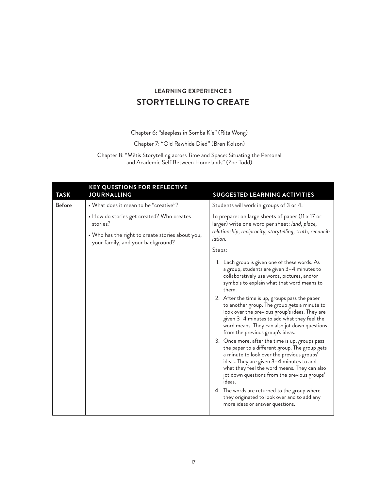## **LEARNING EXPERIENCE 3 STORYTELLING TO CREATE**

Chapter 6: "sleepless in Somba K'e" (Rita Wong)

Chapter 7: "Old Rawhide Died" (Bren Kolson)

Chapter 8: "Métis Storytelling across Time and Space: Situating the Personal and Academic Self Between Homelands" (Zoe Todd)

| <b>TASK</b>   | <b>KEY QUESTIONS FOR REFLECTIVE</b><br><b>JOURNALLING</b>                             | <b>SUGGESTED LEARNING ACTIVITIES</b>                                                                                                                                                                                                                                                                  |
|---------------|---------------------------------------------------------------------------------------|-------------------------------------------------------------------------------------------------------------------------------------------------------------------------------------------------------------------------------------------------------------------------------------------------------|
| <b>Before</b> | • What does it mean to be "creative"?                                                 | Students will work in groups of 3 or 4.                                                                                                                                                                                                                                                               |
|               | • How do stories get created? Who creates<br>stories?                                 | To prepare: on large sheets of paper (11 x 17 or<br>larger) write one word per sheet: land, place,                                                                                                                                                                                                    |
|               | • Who has the right to create stories about you,<br>your family, and your background? | relationship, reciprocity, storytelling, truth, reconcil-<br><i>iation.</i>                                                                                                                                                                                                                           |
|               |                                                                                       | Steps:                                                                                                                                                                                                                                                                                                |
|               |                                                                                       | 1. Each group is given one of these words. As<br>a group, students are given 3-4 minutes to<br>collaboratively use words, pictures, and/or<br>symbols to explain what that word means to<br>them.                                                                                                     |
|               |                                                                                       | 2. After the time is up, groups pass the paper<br>to another group. The group gets a minute to<br>look over the previous group's ideas. They are<br>given 3-4 minutes to add what they feel the<br>word means. They can also jot down questions<br>from the previous group's ideas.                   |
|               |                                                                                       | 3. Once more, after the time is up, groups pass<br>the paper to a different group. The group gets<br>a minute to look over the previous groups'<br>ideas. They are given 3-4 minutes to add<br>what they feel the word means. They can also<br>jot down questions from the previous groups'<br>ideas. |
|               |                                                                                       | 4. The words are returned to the group where<br>they originated to look over and to add any<br>more ideas or answer questions.                                                                                                                                                                        |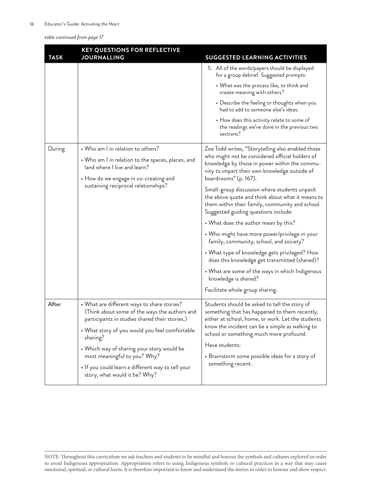*table continued from page 17*

| <b>TASK</b> | <b>KEY QUESTIONS FOR REFLECTIVE</b><br><b>JOURNALLING</b>                                                                                                                                                                                                                                                                                                                        | <b>SUGGESTED LEARNING ACTIVITIES</b>                                                                                                                                                                                                                                                                                                                                                                                                                                                                                                                                                                                                                                                                                                                                               |
|-------------|----------------------------------------------------------------------------------------------------------------------------------------------------------------------------------------------------------------------------------------------------------------------------------------------------------------------------------------------------------------------------------|------------------------------------------------------------------------------------------------------------------------------------------------------------------------------------------------------------------------------------------------------------------------------------------------------------------------------------------------------------------------------------------------------------------------------------------------------------------------------------------------------------------------------------------------------------------------------------------------------------------------------------------------------------------------------------------------------------------------------------------------------------------------------------|
|             |                                                                                                                                                                                                                                                                                                                                                                                  | 5. All of the words/papers should be displayed<br>for a group debrief. Suggested prompts:<br>• What was the process like, to think and<br>create meaning with others?<br>• Describe the feeling or thoughts when you<br>had to add to someone else's ideas.<br>• How does this activity relate to some of<br>the readings we've done in the previous two<br>sections?                                                                                                                                                                                                                                                                                                                                                                                                              |
| During      | • Who am I in relation to others?<br>• Who am I in relation to the spaces, places, and<br>land where I live and learn?<br>• How do we engage in co-creating and<br>sustaining reciprocal relationships?                                                                                                                                                                          | Zoe Todd writes, "Storytelling also enabled those<br>who might not be considered official holders of<br>knowledge by those in power within the commu-<br>nity to impart their own knowledge outside of<br>boardrooms" (p. 167).<br>Small-group discussion where students unpack<br>the above quote and think about what it means to<br>them within their family, community and school.<br>Suggested guiding questions include:<br>• What does the author mean by this?<br>• Who might have more power/privilege in your<br>family, community, school, and society?<br>• What type of knowledge gets privileged? How<br>does this knowledge get transmitted (shared)?<br>• What are some of the ways in which Indigenous<br>knowledge is shared?<br>Facilitate whole group sharing. |
| After       | • What are different ways to share stories?<br>(Think about some of the ways the authors and<br>participants in studies shared their stories.)<br>• What story of you would you feel comfortable<br>sharing?<br>• Which way of sharing your story would be<br>most meaningful to you? Why?<br>• If you could learn a different way to tell your<br>story, what would it be? Why? | Students should be asked to tell the story of<br>something that has happened to them recently,<br>either at school, home, or work. Let the students<br>know the incident can be a simple as walking to<br>school or something much more profound.<br>Have students:<br>• Brainstorm some possible ideas for a story of<br>something recent.                                                                                                                                                                                                                                                                                                                                                                                                                                        |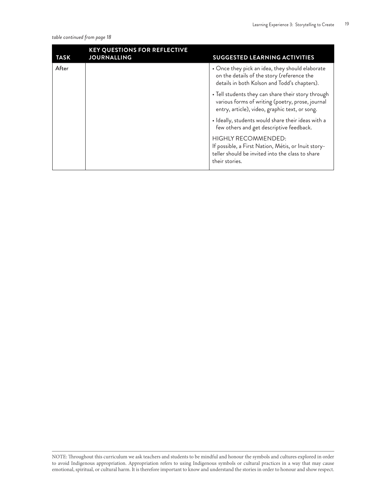*table continued from page 18*

| <b>TASK</b> | <b>KEY QUESTIONS FOR REFLECTIVE</b><br><b>JOURNALLING</b> | <b>SUGGESTED LEARNING ACTIVITIES</b>                                                                                                                     |
|-------------|-----------------------------------------------------------|----------------------------------------------------------------------------------------------------------------------------------------------------------|
| After       |                                                           | • Once they pick an idea, they should elaborate<br>on the details of the story (reference the<br>details in both Kolson and Todd's chapters).            |
|             |                                                           | • Tell students they can share their story through<br>various forms of writing (poetry, prose, journal<br>entry, article), video, graphic text, or song. |
|             |                                                           | · Ideally, students would share their ideas with a<br>few others and get descriptive feedback.                                                           |
|             |                                                           | <b>HIGHLY RECOMMENDED:</b><br>If possible, a First Nation, Métis, or Inuit story-<br>teller should be invited into the class to share<br>their stories.  |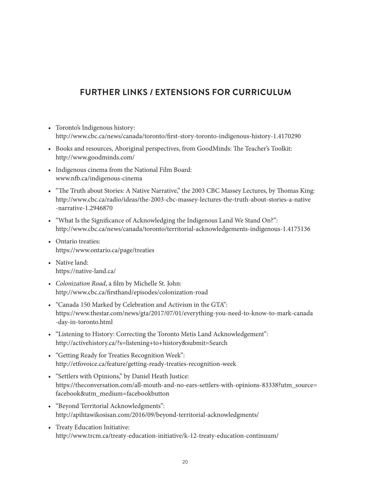## **FURTHER LINKS / EXTENSIONS FOR CURRICULUM**

- Toronto's Indigenous history: <http://www.cbc.ca/news/canada/toronto/first-story-toronto-indigenous-history-1.4170290>
- Books and resources, Aboriginal perspectives, from GoodMinds: The Teacher's Toolkit: <http://www.goodminds.com/>
- Indigenous cinema from the National Film Board: [www.nfb.ca/indigenous-cinema](http://www.nfb.ca/indigenous-cinema)
- "The Truth about Stories: A Native Narrative," the 2003 CBC Massey Lectures, by Thomas King: [http://www.cbc.ca/radio/ideas/the-2003-cbc-massey-lectures-the-truth-about-stories-a-native](http://www.cbc.ca/radio/ideas/the-2003-cbc-massey-lectures-the-truth-about-stories-a-native-narrative-1.2946870) [-narrative-1.2946870](http://www.cbc.ca/radio/ideas/the-2003-cbc-massey-lectures-the-truth-about-stories-a-native-narrative-1.2946870)
- "What Is the Significance of Acknowledging the Indigenous Land We Stand On?": <http://www.cbc.ca/news/canada/toronto/territorial-acknowledgements-indigenous-1.4175136>
- Ontario treaties: <https://www.ontario.ca/page/treaties>
- Native land: <https://native-land.ca/>
- *• Colonization Road*, a film by Michelle St. John: <http://www.cbc.ca/firsthand/episodes/colonization-road>
- "Canada 150 Marked by Celebration and Activism in the GTA": [https://www.thestar.com/news/gta/2017/07/01/everything-you-need-to-know-to-mark-canada](https://www.thestar.com/news/gta/2017/07/01/everything-you-need-to-know-to-mark-canada-day-in-toronto.html) [-day-in-toronto.html](https://www.thestar.com/news/gta/2017/07/01/everything-you-need-to-know-to-mark-canada-day-in-toronto.html)
- "Listening to History: Correcting the Toronto Metis Land Acknowledgement": [http://activehistory.ca/?s=listening+to+history&submit=Search](http://activehistory.ca/2016/12/listening-to-history-correcting-the-toronto-metis-land-acknowledgement/)
- "Getting Ready for Treaties Recognition Week": <http://etfovoice.ca/feature/getting-ready-treaties-recognition-week>
- "Settlers with Opinions," by Daniel Heath Justice[:](https://theconversation.com/all-mouth-and-no-ears-settlers-with-opinions-83338?utm_source=facebook&utm_medium=facebookbutton) [https://theconversation.com/all-mouth-and-no-ears-settlers-with-opinions-83338?utm\\_source=](https://theconversation.com/all-mouth-and-no-ears-settlers-with-opinions-83338?utm_source=facebook&utm_medium=facebookbutton) [facebook&utm\\_medium=facebookbutton](https://theconversation.com/all-mouth-and-no-ears-settlers-with-opinions-83338?utm_source=facebook&utm_medium=facebookbutton)
- "Beyond Territorial Acknowledgments"[:](http://apihtawikosisan.com/2016/09/beyond-territorial-acknowledgments/) <http://apihtawikosisan.com/2016/09/beyond-territorial-acknowledgments/>
- Treaty Education Initiative[:](http://www.trcm.ca/treaty-education-initiative/k-12-treaty-education-continuum/) <http://www.trcm.ca/treaty-education-initiative/k-12-treaty-education-continuum/>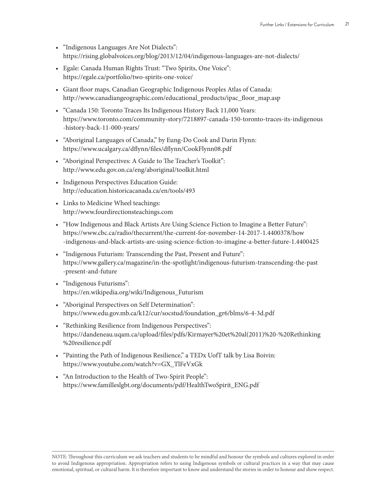- "Indigenous Languages Are Not Dialects": <https://rising.globalvoices.org/blog/2013/12/04/indigenous-languages-are-not-dialects/>
- Egale: Canada Human Rights Trust: "Two Spirits, One Voice": https://egale.ca/portfolio/two-spirits-one-voice/
- Giant floor maps, Canadian Geographic Indigenous Peoples Atlas of Canada: [http://www.canadiangeographic.com/educational\\_products/ipac\\_floor\\_map.asp](http://www.canadiangeographic.com/educational_products/ipac_floor_map.asp)
- "Canada 150: Toronto Traces Its Indigenous History Back 11,000 Years: [https://www.toronto.com/community-story/7218897-canada-150-toronto-traces-its-indigenous](https://www.toronto.com/community-story/7218897-canada-150-toronto-traces-its-indigenous-history-back-11-000-years/) [-history-back-11-000-years/](https://www.toronto.com/community-story/7218897-canada-150-toronto-traces-its-indigenous-history-back-11-000-years/)
- "Aboriginal Languages of Canada," by Eung-Do Cook and Darin Flynn[:](https://www.ucalgary.ca/dflynn/files/dflynn/CookFlynn08.pdf) <https://www.ucalgary.ca/dflynn/files/dflynn/CookFlynn08.pdf>
- "Aboriginal Perspectives: A Guide to The Teacher's Toolkit": <http://www.edu.gov.on.ca/eng/aboriginal/toolkit.html>
- Indigenous Perspectives Education Guide: <http://education.historicacanada.ca/en/tools/493>
- Links to Medicine Wheel teachings: [http://www.fourdirectionsteachings.com](http://www.fourdirectionsteachings.com/)
- "How Indigenous and Black Artists Are Using Science Fiction to Imagine a Better Future": https://www.cbc.ca/radio/thecurrent/the-current-for-november-14-2017-1.4400378/how -indigenous-and-black-artists-are-using-science-fiction-to-imagine-a-better-future-1.4400425
- "Indigenous Futurism: Transcending the Past, Present and Future": [https://www.gallery.ca/magazine/in-the-spotlight/indigenous-futurism-transcending-the-past](https://www.gallery.ca/magazine/in-the-spotlight/indigenous-futurism-transcending-the-past-present-and-future) [-present-and-future](https://www.gallery.ca/magazine/in-the-spotlight/indigenous-futurism-transcending-the-past-present-and-future)
- "Indigenous Futurisms": [https://en.wikipedia.org/wiki/Indigenous\\_Futurism](https://en.wikipedia.org/wiki/Indigenous_Futurism)
- "Aboriginal Perspectives on Self Determination": [https://www.edu.gov.mb.ca/k12/cur/socstud/foundation\\_gr6/blms/6-4-3d.pdf](https://www.edu.gov.mb.ca/k12/cur/socstud/foundation_gr6/blms/6-4-3d.pdf)
- "Rethinking Resilience from Indigenous Perspectives": [https://dandeneau.uqam.ca/upload/files/pdfs/Kirmayer%20et%20al\(2011\)%20-%20Rethinking](https://dandeneau.uqam.ca/upload/files/pdfs/Kirmayer%20et%20al(2011)%20-%20Rethinking%20resilience.pdf) [%20resilience.pdf](https://dandeneau.uqam.ca/upload/files/pdfs/Kirmayer%20et%20al(2011)%20-%20Rethinking%20resilience.pdf)
- "Painting the Path of Indigenous Resilience," a TEDx UofT talk by Lisa Boivin: [https://www.youtube.com/watch?v=GX\\_TlFeVxGk](https://www.youtube.com/watch?v=GX_TlFeVxGk)
- "An Introduction to the Health of Two-Spirit People": https://www.familleslgbt.org/documents/pdf/HealthTwoSpirit\_ENG.pdf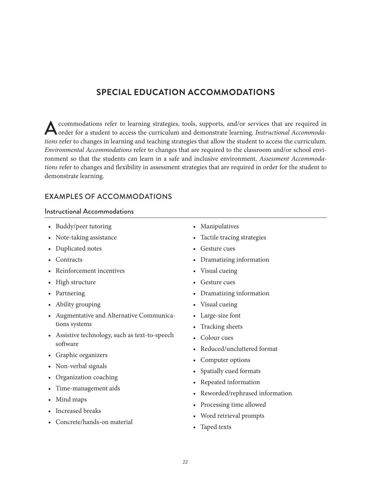## **SPECIAL EDUCATION ACCOMMODATIONS**

A ccommodations refer to learning strategies, tools, supports, and/or services that are required in order for a student to access the curriculum and demonstrate learning. *Instructional Accommodations* refer to changes in learning and teaching strategies that allow the student to access the curriculum. *Environmental Accommodations* refer to changes that are required to the classroom and/or school environment so that the students can learn in a safe and inclusive environment. *Assessment Accommodations* refer to changes and flexibility in assessment strategies that are required in order for the student to demonstrate learning.

## EXAMPLES OF ACCOMMODATIONS

#### Instructional Accommodations

- Buddy/peer tutoring
- Note-taking assistance
- Duplicated notes
- Contracts
- Reinforcement incentives
- High structure
- Partnering
- Ability grouping
- Augmentative and Alternative Communications systems
- Assistive technology, such as text-to-speech software
- Graphic organizers
- Non-verbal signals
- Organization coaching
- Time-management aids
- Mind maps
- Increased breaks
- Concrete/hands-on material
- Manipulatives
- Tactile tracing strategies
- Gesture cues
- Dramatizing information
- Visual cueing
- Gesture cues
- Dramatizing information
- Visual cueing
- Large-size font
- Tracking sheets
- Colour cues
- Reduced/uncluttered format
- Computer options
- Spatially cued formats
- Repeated information
- Reworded/rephrased information
- Processing time allowed
- Word retrieval prompts
- Taped texts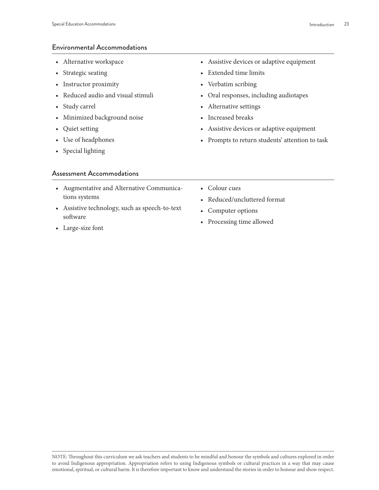#### Environmental Accommodations

- Alternative workspace
- Strategic seating
- Instructor proximity
- Reduced audio and visual stimuli
- Study carrel
- Minimized background noise
- Quiet setting
- Use of headphones
- Special lighting

#### Assessment Accommodations

- Augmentative and Alternative Communications systems
- Assistive technology, such as speech-to-text software
- Large-size font
- Assistive devices or adaptive equipment
- Extended time limits
- Verbatim scribing
- Oral responses, including audiotapes
- Alternative settings
- Increased breaks
- Assistive devices or adaptive equipment
- Prompts to return students' attention to task
- Colour cues
- Reduced/uncluttered format
- Computer options
- Processing time allowed

NOTE: Throughout this curriculum we ask teachers and students to be mindful and honour the symbols and cultures explored in order to avoid Indigenous appropriation. Appropriation refers to using Indigenous symbols or cultural practices in a way that may cause emotional, spiritual, or cultural harm. It is therefore important to know and understand the stories in order to honour and show respect.